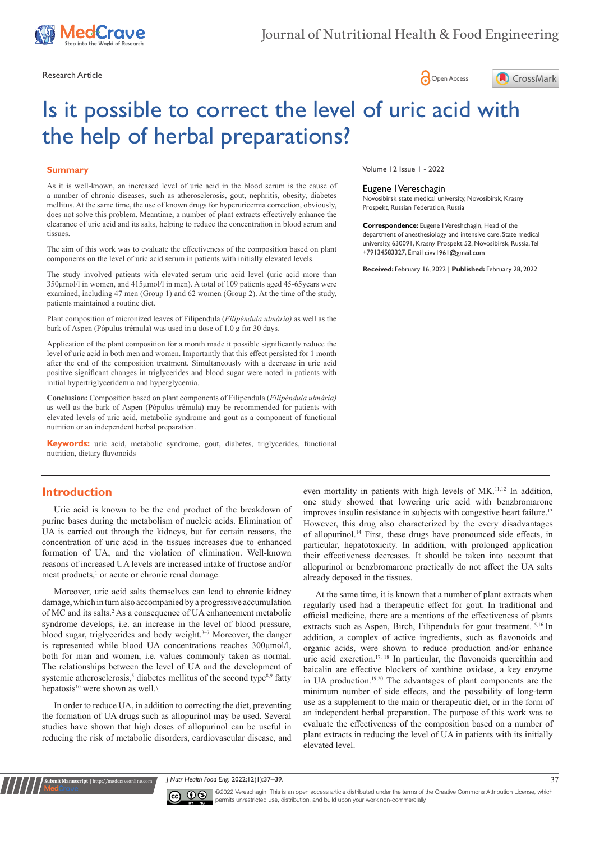





# Is it possible to correct the level of uric acid with the help of herbal preparations?

#### **Summary**

As it is well-known, an increased level of uric acid in the blood serum is the cause of a number of chronic diseases, such as atherosclerosis, gout, nephritis, obesity, diabetes mellitus. At the same time, the use of known drugs for hyperuricemia correction, obviously, does not solve this problem. Meantime, a number of plant extracts effectively enhance the clearance of uric acid and its salts, helping to reduce the concentration in blood serum and tissues.

The aim of this work was to evaluate the effectiveness of the composition based on plant components on the level of uric acid serum in patients with initially elevated levels.

The study involved patients with elevated serum uric acid level (uric acid more than 350μmol/l in women, and 415μmol/l in men). A total of 109 patients aged 45-65years were examined, including 47 men (Group 1) and 62 women (Group 2). At the time of the study, patients maintained a routine diet.

Plant composition of micronized leaves of Filipendula (*Filipéndula ulmária)* as well as the bark of Aspen (Pópulus trémula) was used in a dose of 1.0 g for 30 days.

Application of the plant composition for a month made it possible significantly reduce the level of uric acid in both men and women. Importantly that this effect persisted for 1 month after the end of the composition treatment. Simultaneously with a decrease in uric acid positive significant changes in triglycerides and blood sugar were noted in patients with initial hypertriglyceridemia and hyperglycemia.

**Conclusion:** Composition based on plant components of Filipendula (*Filipéndula ulmária)*  as well as the bark of Aspen (Pópulus trémula) may be recommended for patients with elevated levels of uric acid, metabolic syndrome and gout as a component of functional nutrition or an independent herbal preparation.

**Keywords:** uric acid, metabolic syndrome, gout, diabetes, triglycerides, functional nutrition, dietary flavonoids

#### **Introduction**

**it Manuscript** | http://medcraveonline

Uric acid is known to be the end product of the breakdown of purine bases during the metabolism of nucleic acids. Elimination of UA is carried out through the kidneys, but for certain reasons, the concentration of uric acid in the tissues increases due to enhanced formation of UA, and the violation of elimination. Well-known reasons of increased UA levels are increased intake of fructose and/or meat products,<sup>1</sup> or acute or chronic renal damage.

Moreover, uric acid salts themselves can lead to chronic kidney damage, which in turn also accompanied by a progressive accumulation of MC and its salts.<sup>2</sup> As a consequence of UA enhancement metabolic syndrome develops, i.e. an increase in the level of blood pressure, blood sugar, triglycerides and body weight.<sup>3-7</sup> Moreover, the danger is represented while blood UA concentrations reaches 300μmol/l, both for man and women, i.e. values commonly taken as normal. The relationships between the level of UA and the development of systemic atherosclerosis,<sup>5</sup> diabetes mellitus of the second type<sup>8,9</sup> fatty hepatosis<sup>10</sup> were shown as well. $\setminus$ 

In order to reduce UA, in addition to correcting the diet, preventing the formation of UA drugs such as allopurinol may be used. Several studies have shown that high doses of allopurinol can be useful in reducing the risk of metabolic disorders, cardiovascular disease, and Volume 12 Issue 1 - 2022

#### Eugene I Vereschagin

Novosibirsk state medical university, Novosibirsk, Krasny Prospekt, Russian Federation, Russia

**Correspondence:** Eugene I Vereshchagin, Head of the department of anesthesiology and intensive care, State medical university, 630091, Krasny Prospekt 52, Novosibirsk, Russia, Tel +79134583327, Email eivv1961@gmail.com

**Received:** February 16, 2022 | **Published:** February 28, 2022

even mortality in patients with high levels of MK.<sup>11,12</sup> In addition, one study showed that lowering uric acid with benzbromarone improves insulin resistance in subjects with congestive heart failure.<sup>13</sup> However, this drug also characterized by the every disadvantages of allopurinol.14 First, these drugs have pronounced side effects, in particular, hepatotoxicity. In addition, with prolonged application their effectiveness decreases. It should be taken into account that allopurinol or benzbromarone practically do not affect the UA salts already deposed in the tissues.

At the same time, it is known that a number of plant extracts when regularly used had a therapeutic effect for gout. In traditional and official medicine, there are a mentions of the effectiveness of plants extracts such as Aspen, Birch, Filipendula for gout treatment.<sup>15,16</sup> In addition, a complex of active ingredients, such as flavonoids and organic acids, were shown to reduce production and/or enhance uric acid excretion.<sup>17, 18</sup> In particular, the flavonoids quercithin and baicalin are effective blockers of xanthine oxidase, a key enzyme in UA production.19,20 The advantages of plant components are the minimum number of side effects, and the possibility of long-term use as a supplement to the main or therapeutic diet, or in the form of an independent herbal preparation. The purpose of this work was to evaluate the effectiveness of the composition based on a number of plant extracts in reducing the level of UA in patients with its initially elevated level.

*J Nutr Health Food Eng.* 2022;12(1):37‒39. 37



©2022 Vereschagin. This is an open access article distributed under the terms of the [Creative Commons Attribution License,](https://creativecommons.org/licenses/by-nc/4.0/) which permits unrestricted use, distribution, and build upon your work non-commercially.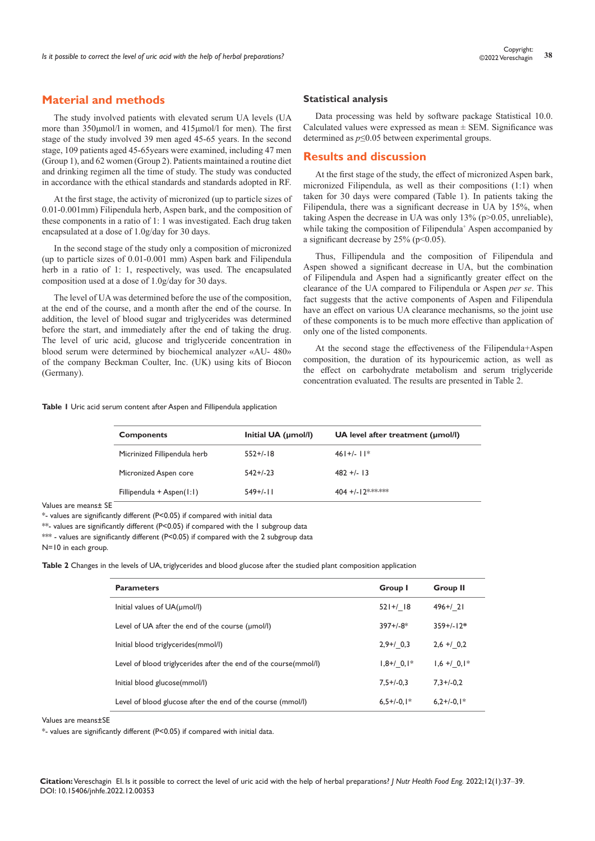# **Material and methods**

The study involved patients with elevated serum UA levels (UA more than 350μmol/l in women, and 415μmol/l for men). The first stage of the study involved 39 men aged 45-65 years. In the second stage, 109 patients aged 45-65years were examined, including 47 men (Group 1), and 62 women (Group 2). Patients maintained a routine diet and drinking regimen all the time of study. The study was conducted in accordance with the ethical standards and standards adopted in RF.

At the first stage, the activity of micronized (up to particle sizes of 0.01-0.001mm) Filipendula herb, Aspen bark, and the composition of these components in a ratio of 1: 1 was investigated. Each drug taken encapsulated at a dose of 1.0g/day for 30 days.

In the second stage of the study only a composition of micronized (up to particle sizes of 0.01-0.001 mm) Aspen bark and Filipendula herb in a ratio of 1: 1, respectively, was used. The encapsulated composition used at a dose of 1.0g/day for 30 days.

The level of UA was determined before the use of the composition, at the end of the course, and a month after the end of the course. In addition, the level of blood sugar and triglycerides was determined before the start, and immediately after the end of taking the drug. The level of uric acid, glucose and triglyceride concentration in blood serum were determined by biochemical analyzer «AU- 480» of the company Beckman Coulter, Inc. (UK) using kits of Biocon (Germany).

#### **Table 1** Uric acid serum content after Aspen and Fillipendula application

#### **Statistical analysis**

Data processing was held by software package Statistical 10.0. Calculated values were expressed as mean  $\pm$  SEM. Significance was determined as *p*≤0.05 between experimental groups.

#### **Results and discussion**

At the first stage of the study, the effect of micronized Aspen bark, micronized Filipendula, as well as their compositions (1:1) when taken for 30 days were compared (Table 1). In patients taking the Filipendula, there was a significant decrease in UA by 15%, when taking Aspen the decrease in UA was only 13% (p>0.05, unreliable), while taking the composition of Filipendula<sup>+</sup> Aspen accompanied by a significant decrease by  $25\%$  (p<0.05).

Thus, Fillipendula and the composition of Filipendula and Aspen showed a significant decrease in UA, but the combination of Filipendula and Aspen had a significantly greater effect on the clearance of the UA compared to Filipendula or Aspen *per se*. This fact suggests that the active components of Aspen and Filipendula have an effect on various UA clearance mechanisms, so the joint use of these components is to be much more effective than application of only one of the listed components.

At the second stage the effectiveness of the Filipendula+Aspen composition, the duration of its hypouricemic action, as well as the effect on carbohydrate metabolism and serum triglyceride concentration evaluated. The results are presented in Table 2.

| <b>Components</b>            | Initial UA (umol/l)<br>UA level after treatment (umol/l) |                   |
|------------------------------|----------------------------------------------------------|-------------------|
| Micrinized Fillipendula herb | $552+/-18$                                               | $46$  + $/$ -   * |
| Micronized Aspen core        | $542+/-23$                                               | $482 + 13$        |
| Fillipendula + Aspen $(1:1)$ | $549+/-$                                                 | 404 +/-12******   |

Values are means± SE

\*- values are significantly different (P<0.05) if compared with initial data

\*\*- values are significantly different (P<0.05) if compared with the 1 subgroup data

\*\*\* - values are significantly different (P<0.05) if compared with the 2 subgroup data

N=10 in each group.

**Table 2** Changes in the levels of UA, triglycerides and blood glucose after the studied plant composition application

| <b>Parameters</b>                                                | Group I         | <b>Group II</b> |
|------------------------------------------------------------------|-----------------|-----------------|
| Initial values of UA(umol/l)                                     | $521 + / 18$    | $496 + 21$      |
| Level of UA after the end of the course (umol/l)                 | $397+/-8*$      | $359 + 117*$    |
| Initial blood triglycerides(mmol/l)                              | $2,9+/0,3$      | $2,6 + 0,2$     |
| Level of blood triglycerides after the end of the course(mmol/l) | $1,8+7$ 0, $1*$ | $1,6 + 0,1*$    |
| Initial blood glucose(mmol/l)                                    | $7.5 + (-0.3)$  | $7.3 + (-0.2)$  |
| Level of blood glucose after the end of the course (mmol/l)      | $6.5+/-0.1*$    | $6.2 + (-0.1*)$ |

Values are means±SE

\*- values are significantly different (P<0.05) if compared with initial data.

**Citation:** Vereschagin EI. Is it possible to correct the level of uric acid with the help of herbal preparations? *J Nutr Health Food Eng.* 2022;12(1):37‒39. DOI: [10.15406/jnhfe.2022.12.00353](https://doi.org/10.15406/jnhfe.2022.12.00353
)